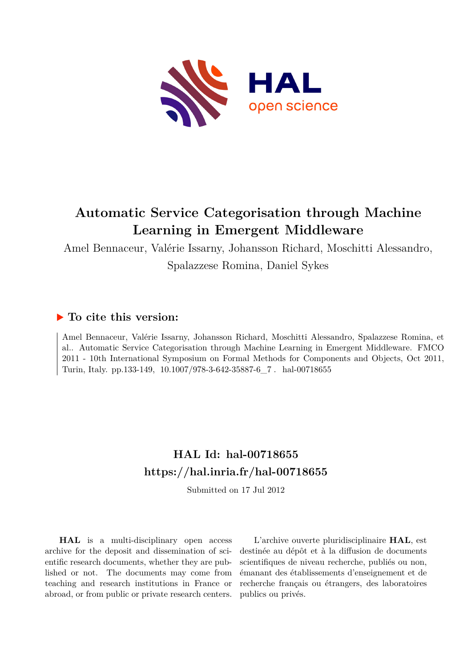

# **Automatic Service Categorisation through Machine Learning in Emergent Middleware**

Amel Bennaceur, Valérie Issarny, Johansson Richard, Moschitti Alessandro, Spalazzese Romina, Daniel Sykes

# **To cite this version:**

Amel Bennaceur, Valérie Issarny, Johansson Richard, Moschitti Alessandro, Spalazzese Romina, et al.. Automatic Service Categorisation through Machine Learning in Emergent Middleware. FMCO 2011 - 10th International Symposium on Formal Methods for Components and Objects, Oct 2011, Turin, Italy. pp.133-149, 10.1007/978-3-642-35887-6\_7. hal-00718655

# **HAL Id: hal-00718655 <https://hal.inria.fr/hal-00718655>**

Submitted on 17 Jul 2012

**HAL** is a multi-disciplinary open access archive for the deposit and dissemination of scientific research documents, whether they are published or not. The documents may come from teaching and research institutions in France or abroad, or from public or private research centers.

L'archive ouverte pluridisciplinaire **HAL**, est destinée au dépôt et à la diffusion de documents scientifiques de niveau recherche, publiés ou non, émanant des établissements d'enseignement et de recherche français ou étrangers, des laboratoires publics ou privés.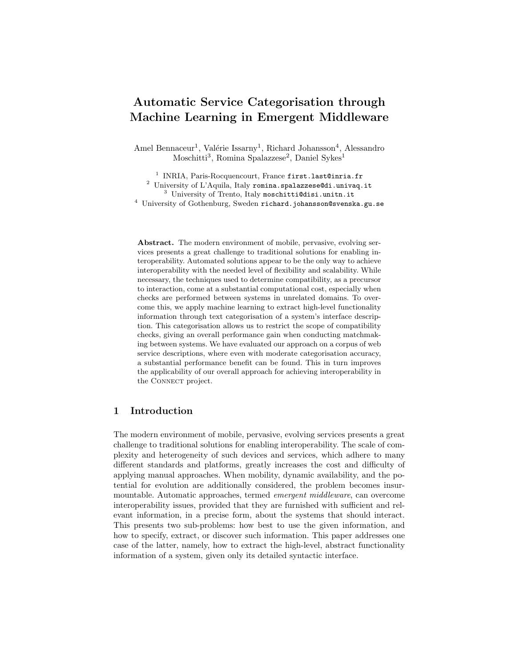# Automatic Service Categorisation through Machine Learning in Emergent Middleware

Amel Bennaceur<sup>1</sup>, Valérie Issarny<sup>1</sup>, Richard Johansson<sup>4</sup>, Alessandro Moschitti<sup>3</sup>, Romina Spalazzese<sup>2</sup>, Daniel Sykes<sup>1</sup>

<sup>1</sup> INRIA, Paris-Rocquencourt, France first.last@inria.fr

<sup>2</sup> University of L'Aquila, Italy romina.spalazzese@di.univaq.it

<sup>3</sup> University of Trento, Italy moschitti@disi.unitn.it

<sup>4</sup> University of Gothenburg, Sweden richard.johansson@svenska.gu.se

Abstract. The modern environment of mobile, pervasive, evolving services presents a great challenge to traditional solutions for enabling interoperability. Automated solutions appear to be the only way to achieve interoperability with the needed level of flexibility and scalability. While necessary, the techniques used to determine compatibility, as a precursor to interaction, come at a substantial computational cost, especially when checks are performed between systems in unrelated domains. To overcome this, we apply machine learning to extract high-level functionality information through text categorisation of a system's interface description. This categorisation allows us to restrict the scope of compatibility checks, giving an overall performance gain when conducting matchmaking between systems. We have evaluated our approach on a corpus of web service descriptions, where even with moderate categorisation accuracy, a substantial performance benefit can be found. This in turn improves the applicability of our overall approach for achieving interoperability in the CONNECT project.

# 1 Introduction

The modern environment of mobile, pervasive, evolving services presents a great challenge to traditional solutions for enabling interoperability. The scale of complexity and heterogeneity of such devices and services, which adhere to many different standards and platforms, greatly increases the cost and difficulty of applying manual approaches. When mobility, dynamic availability, and the potential for evolution are additionally considered, the problem becomes insurmountable. Automatic approaches, termed emergent middleware, can overcome interoperability issues, provided that they are furnished with sufficient and relevant information, in a precise form, about the systems that should interact. This presents two sub-problems: how best to use the given information, and how to specify, extract, or discover such information. This paper addresses one case of the latter, namely, how to extract the high-level, abstract functionality information of a system, given only its detailed syntactic interface.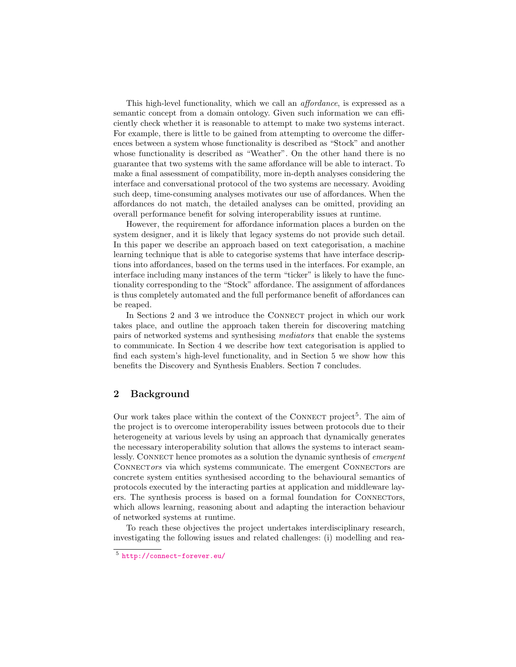This high-level functionality, which we call an affordance, is expressed as a semantic concept from a domain ontology. Given such information we can efficiently check whether it is reasonable to attempt to make two systems interact. For example, there is little to be gained from attempting to overcome the differences between a system whose functionality is described as "Stock" and another whose functionality is described as "Weather". On the other hand there is no guarantee that two systems with the same affordance will be able to interact. To make a final assessment of compatibility, more in-depth analyses considering the interface and conversational protocol of the two systems are necessary. Avoiding such deep, time-consuming analyses motivates our use of affordances. When the affordances do not match, the detailed analyses can be omitted, providing an overall performance benefit for solving interoperability issues at runtime.

However, the requirement for affordance information places a burden on the system designer, and it is likely that legacy systems do not provide such detail. In this paper we describe an approach based on text categorisation, a machine learning technique that is able to categorise systems that have interface descriptions into affordances, based on the terms used in the interfaces. For example, an interface including many instances of the term "ticker" is likely to have the functionality corresponding to the "Stock" affordance. The assignment of affordances is thus completely automated and the full performance benefit of affordances can be reaped.

In Sections 2 and 3 we introduce the CONNECT project in which our work takes place, and outline the approach taken therein for discovering matching pairs of networked systems and synthesising mediators that enable the systems to communicate. In Section 4 we describe how text categorisation is applied to find each system's high-level functionality, and in Section 5 we show how this benefits the Discovery and Synthesis Enablers. Section 7 concludes.

# 2 Background

Our work takes place within the context of the CONNECT project<sup>5</sup>. The aim of the project is to overcome interoperability issues between protocols due to their heterogeneity at various levels by using an approach that dynamically generates the necessary interoperability solution that allows the systems to interact seamlessly. CONNECT hence promotes as a solution the dynamic synthesis of *emergent* CONNECTORS via which systems communicate. The emergent CONNECTORS are concrete system entities synthesised according to the behavioural semantics of protocols executed by the interacting parties at application and middleware layers. The synthesis process is based on a formal foundation for CONNECTORS, which allows learning, reasoning about and adapting the interaction behaviour of networked systems at runtime.

To reach these objectives the project undertakes interdisciplinary research, investigating the following issues and related challenges: (i) modelling and rea-

<sup>5</sup> <http://connect-forever.eu/>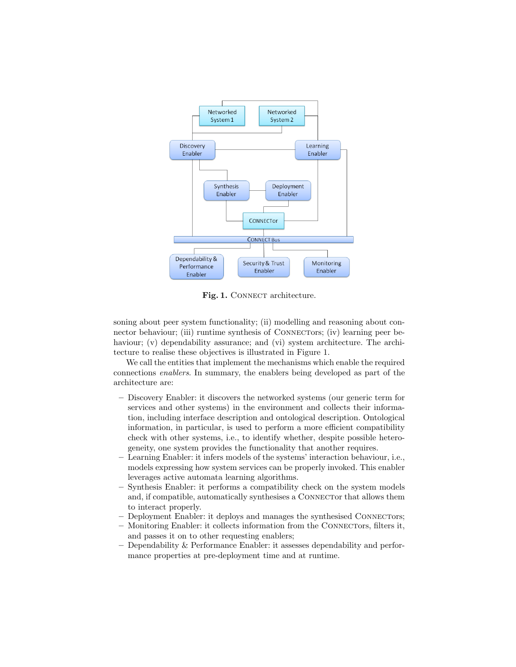

Fig. 1. CONNECT architecture.

soning about peer system functionality; (ii) modelling and reasoning about connector behaviour; (iii) runtime synthesis of CONNECTORS; (iv) learning peer behaviour; (v) dependability assurance; and (vi) system architecture. The architecture to realise these objectives is illustrated in Figure 1.

We call the entities that implement the mechanisms which enable the required connections enablers. In summary, the enablers being developed as part of the architecture are:

- Discovery Enabler: it discovers the networked systems (our generic term for services and other systems) in the environment and collects their information, including interface description and ontological description. Ontological information, in particular, is used to perform a more efficient compatibility check with other systems, i.e., to identify whether, despite possible heterogeneity, one system provides the functionality that another requires.
- Learning Enabler: it infers models of the systems' interaction behaviour, i.e., models expressing how system services can be properly invoked. This enabler leverages active automata learning algorithms.
- Synthesis Enabler: it performs a compatibility check on the system models and, if compatible, automatically synthesises a CONNECTOR that allows them to interact properly.
- Deployment Enabler: it deploys and manages the synthesised CONNECTORS;
- $-$  Monitoring Enabler: it collects information from the CONNECTOrs, filters it, and passes it on to other requesting enablers;
- Dependability & Performance Enabler: it assesses dependability and performance properties at pre-deployment time and at runtime.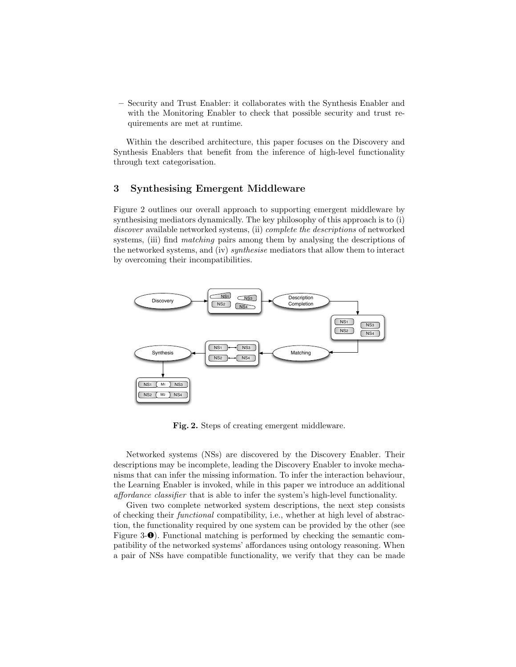– Security and Trust Enabler: it collaborates with the Synthesis Enabler and with the Monitoring Enabler to check that possible security and trust requirements are met at runtime.

Within the described architecture, this paper focuses on the Discovery and Synthesis Enablers that benefit from the inference of high-level functionality through text categorisation.

## 3 Synthesising Emergent Middleware

Figure 2 outlines our overall approach to supporting emergent middleware by synthesising mediators dynamically. The key philosophy of this approach is to (i) discover available networked systems, (ii) *complete the descriptions* of networked systems, (iii) find *matching* pairs among them by analysing the descriptions of the networked systems, and (iv) synthesise mediators that allow them to interact by overcoming their incompatibilities.



Fig. 2. Steps of creating emergent middleware.

Networked systems (NSs) are discovered by the Discovery Enabler. Their descriptions may be incomplete, leading the Discovery Enabler to invoke mechanisms that can infer the missing information. To infer the interaction behaviour, the Learning Enabler is invoked, while in this paper we introduce an additional affordance classifier that is able to infer the system's high-level functionality.

Given two complete networked system descriptions, the next step consists of checking their functional compatibility, i.e., whether at high level of abstraction, the functionality required by one system can be provided by the other (see Figure 3-❶). Functional matching is performed by checking the semantic compatibility of the networked systems' affordances using ontology reasoning. When a pair of NSs have compatible functionality, we verify that they can be made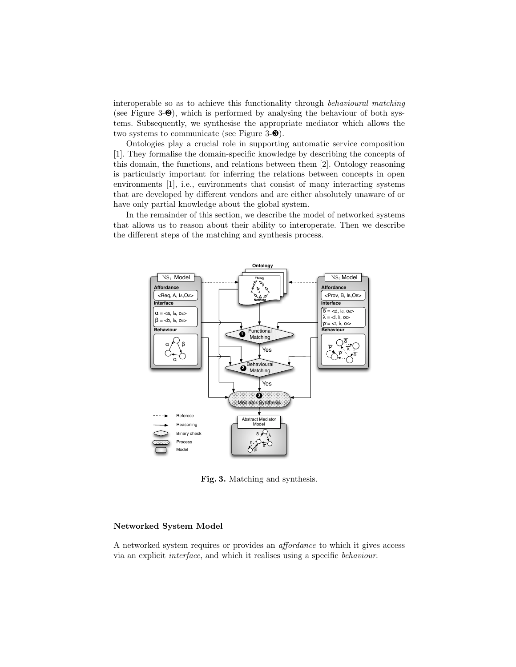interoperable so as to achieve this functionality through behavioural matching (see Figure 3- $\Theta$ ), which is performed by analysing the behaviour of both systems. Subsequently, we synthesise the appropriate mediator which allows the two systems to communicate (see Figure 3-❸).

Ontologies play a crucial role in supporting automatic service composition [1]. They formalise the domain-specific knowledge by describing the concepts of this domain, the functions, and relations between them [2]. Ontology reasoning is particularly important for inferring the relations between concepts in open environments [1], i.e., environments that consist of many interacting systems that are developed by different vendors and are either absolutely unaware of or have only partial knowledge about the global system.

In the remainder of this section, we describe the model of networked systems that allows us to reason about their ability to interoperate. Then we describe the different steps of the matching and synthesis process.



Fig. 3. Matching and synthesis.

#### Networked System Model

A networked system requires or provides an affordance to which it gives access via an explicit interface, and which it realises using a specific behaviour.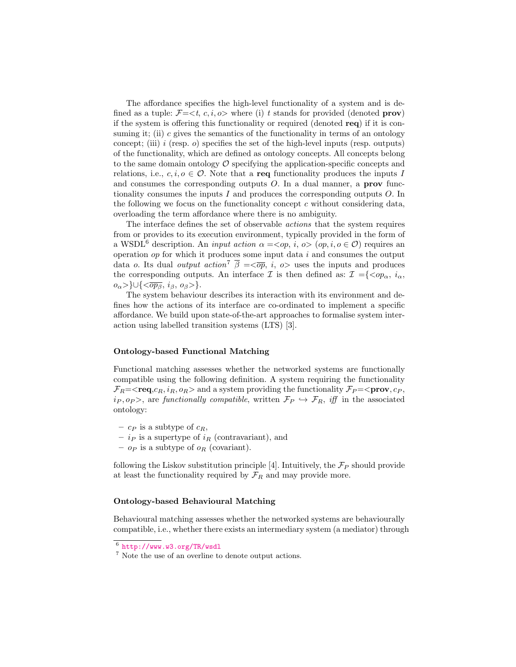The affordance specifies the high-level functionality of a system and is defined as a tuple:  $\mathcal{F}=\langle t, c, i, o\rangle$  where (i) t stands for provided (denoted **prov**) if the system is offering this functionality or required (denoted req) if it is consuming it; (ii) c gives the semantics of the functionality in terms of an ontology concept; (iii)  $i$  (resp.  $o$ ) specifies the set of the high-level inputs (resp. outputs) of the functionality, which are defined as ontology concepts. All concepts belong to the same domain ontology  $\mathcal O$  specifying the application-specific concepts and relations, i.e.,  $c, i, o \in \mathcal{O}$ . Note that a req functionality produces the inputs I and consumes the corresponding outputs  $O$ . In a dual manner, a **prov** functionality consumes the inputs I and produces the corresponding outputs O. In the following we focus on the functionality concept  $c$  without considering data, overloading the term affordance where there is no ambiguity.

The interface defines the set of observable actions that the system requires from or provides to its execution environment, typically provided in the form of a WSDL<sup>6</sup> description. An *input action*  $\alpha = \langle op, i, o \rangle$  (*op*, *i*,  $o \in \mathcal{O}$ ) requires an operation  $op$  for which it produces some input data  $i$  and consumes the output data o. Its dual output action<sup>7</sup>  $\bar{\beta} = \langle \overline{op}, i, o \rangle$  uses the inputs and produces the corresponding outputs. An interface  $\mathcal I$  is then defined as:  $\mathcal I = \{ \langle op_\alpha, i_\alpha, \rangle \}$  $o_{\alpha}$ >}∪{< $\overline{op_{\beta}}, i_{\beta}, o_{\beta}$ >}.

The system behaviour describes its interaction with its environment and defines how the actions of its interface are co-ordinated to implement a specific affordance. We build upon state-of-the-art approaches to formalise system interaction using labelled transition systems (LTS) [3].

#### Ontology-based Functional Matching

Functional matching assesses whether the networked systems are functionally compatible using the following definition. A system requiring the functionality  $\mathcal{F}_R = \langle \textbf{req}, c_R, i_R, o_R \rangle$  and a system providing the functionality  $\mathcal{F}_P = \langle \textbf{prov}, c_P, \rangle$  $i_P, o_P$ , are functionally compatible, written  $\mathcal{F}_P \hookrightarrow \mathcal{F}_R$ , iff in the associated ontology:

- $c_P$  is a subtype of  $c_R$ ,
- $i_P$  is a supertype of  $i_R$  (contravariant), and
- $o_P$  is a subtype of  $o_R$  (covariant).

following the Liskov substitution principle [4]. Intuitively, the  $\mathcal{F}_P$  should provide at least the functionality required by  $\mathcal{F}_R$  and may provide more.

#### Ontology-based Behavioural Matching

Behavioural matching assesses whether the networked systems are behaviourally compatible, i.e., whether there exists an intermediary system (a mediator) through

<sup>6</sup> <http://www.w3.org/TR/wsdl>

<sup>7</sup> Note the use of an overline to denote output actions.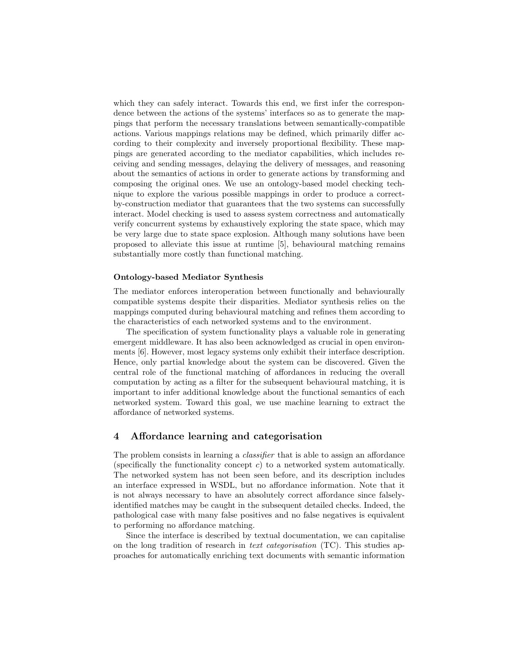which they can safely interact. Towards this end, we first infer the correspondence between the actions of the systems' interfaces so as to generate the mappings that perform the necessary translations between semantically-compatible actions. Various mappings relations may be defined, which primarily differ according to their complexity and inversely proportional flexibility. These mappings are generated according to the mediator capabilities, which includes receiving and sending messages, delaying the delivery of messages, and reasoning about the semantics of actions in order to generate actions by transforming and composing the original ones. We use an ontology-based model checking technique to explore the various possible mappings in order to produce a correctby-construction mediator that guarantees that the two systems can successfully interact. Model checking is used to assess system correctness and automatically verify concurrent systems by exhaustively exploring the state space, which may be very large due to state space explosion. Although many solutions have been proposed to alleviate this issue at runtime [5], behavioural matching remains substantially more costly than functional matching.

#### Ontology-based Mediator Synthesis

The mediator enforces interoperation between functionally and behaviourally compatible systems despite their disparities. Mediator synthesis relies on the mappings computed during behavioural matching and refines them according to the characteristics of each networked systems and to the environment.

The specification of system functionality plays a valuable role in generating emergent middleware. It has also been acknowledged as crucial in open environments [6]. However, most legacy systems only exhibit their interface description. Hence, only partial knowledge about the system can be discovered. Given the central role of the functional matching of affordances in reducing the overall computation by acting as a filter for the subsequent behavioural matching, it is important to infer additional knowledge about the functional semantics of each networked system. Toward this goal, we use machine learning to extract the affordance of networked systems.

#### 4 Affordance learning and categorisation

The problem consists in learning a *classifier* that is able to assign an affordance (specifically the functionality concept  $c$ ) to a networked system automatically. The networked system has not been seen before, and its description includes an interface expressed in WSDL, but no affordance information. Note that it is not always necessary to have an absolutely correct affordance since falselyidentified matches may be caught in the subsequent detailed checks. Indeed, the pathological case with many false positives and no false negatives is equivalent to performing no affordance matching.

Since the interface is described by textual documentation, we can capitalise on the long tradition of research in text categorisation (TC). This studies approaches for automatically enriching text documents with semantic information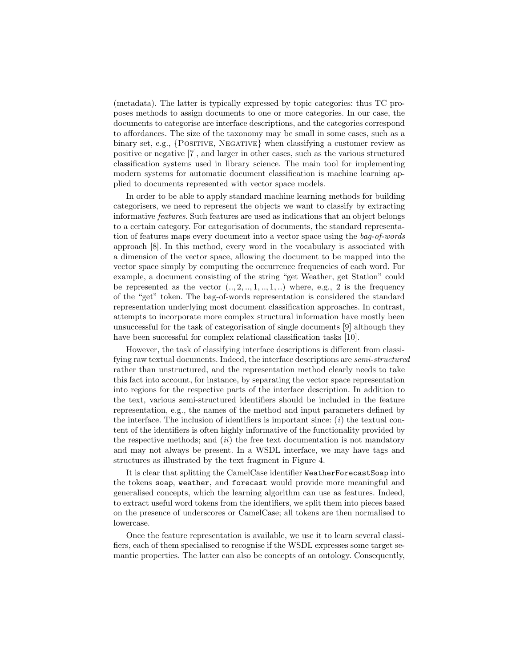(metadata). The latter is typically expressed by topic categories: thus TC proposes methods to assign documents to one or more categories. In our case, the documents to categorise are interface descriptions, and the categories correspond to affordances. The size of the taxonomy may be small in some cases, such as a binary set, e.g., {POSITIVE, NEGATIVE} when classifying a customer review as positive or negative [7], and larger in other cases, such as the various structured classification systems used in library science. The main tool for implementing modern systems for automatic document classification is machine learning applied to documents represented with vector space models.

In order to be able to apply standard machine learning methods for building categorisers, we need to represent the objects we want to classify by extracting informative features. Such features are used as indications that an object belongs to a certain category. For categorisation of documents, the standard representation of features maps every document into a vector space using the bag-of-words approach [8]. In this method, every word in the vocabulary is associated with a dimension of the vector space, allowing the document to be mapped into the vector space simply by computing the occurrence frequencies of each word. For example, a document consisting of the string "get Weather, get Station" could be represented as the vector  $(., 2, ..., 1, ..., 1, ...)$  where, e.g., 2 is the frequency of the "get" token. The bag-of-words representation is considered the standard representation underlying most document classification approaches. In contrast, attempts to incorporate more complex structural information have mostly been unsuccessful for the task of categorisation of single documents [9] although they have been successful for complex relational classification tasks [10].

However, the task of classifying interface descriptions is different from classifying raw textual documents. Indeed, the interface descriptions are semi-structured rather than unstructured, and the representation method clearly needs to take this fact into account, for instance, by separating the vector space representation into regions for the respective parts of the interface description. In addition to the text, various semi-structured identifiers should be included in the feature representation, e.g., the names of the method and input parameters defined by the interface. The inclusion of identifiers is important since:  $(i)$  the textual content of the identifiers is often highly informative of the functionality provided by the respective methods; and  $(ii)$  the free text documentation is not mandatory and may not always be present. In a WSDL interface, we may have tags and structures as illustrated by the text fragment in Figure 4.

It is clear that splitting the CamelCase identifier WeatherForecastSoap into the tokens soap, weather, and forecast would provide more meaningful and generalised concepts, which the learning algorithm can use as features. Indeed, to extract useful word tokens from the identifiers, we split them into pieces based on the presence of underscores or CamelCase; all tokens are then normalised to lowercase.

Once the feature representation is available, we use it to learn several classifiers, each of them specialised to recognise if the WSDL expresses some target semantic properties. The latter can also be concepts of an ontology. Consequently,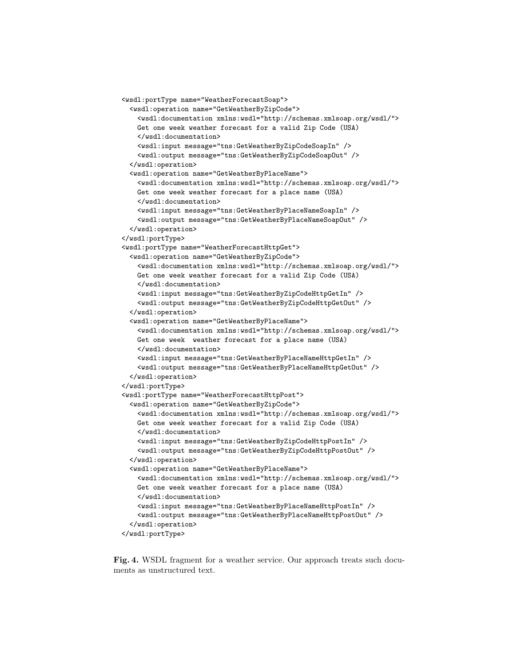```
<wsdl:portType name="WeatherForecastSoap">
 <wsdl:operation name="GetWeatherByZipCode">
    <wsdl:documentation xmlns:wsdl="http://schemas.xmlsoap.org/wsdl/">
   Get one week weather forecast for a valid Zip Code (USA)
   </wsdl:documentation>
    <wsdl:input message="tns:GetWeatherByZipCodeSoapIn" />
    <wsdl:output message="tns:GetWeatherByZipCodeSoapOut" />
  </wsdl:operation>
  <wsdl:operation name="GetWeatherByPlaceName">
    <wsdl:documentation xmlns:wsdl="http://schemas.xmlsoap.org/wsdl/">
    Get one week weather forecast for a place name (USA)
    </wsdl:documentation>
    <wsdl:input message="tns:GetWeatherByPlaceNameSoapIn" />
    <wsdl:output message="tns:GetWeatherByPlaceNameSoapOut" />
 </wsdl:operation>
</wsdl:portType>
<wsdl:portType name="WeatherForecastHttpGet">
 <wsdl:operation name="GetWeatherByZipCode">
    <wsdl:documentation xmlns:wsdl="http://schemas.xmlsoap.org/wsdl/">
    Get one week weather forecast for a valid Zip Code (USA)
    </wsdl:documentation>
    <wsdl:input message="tns:GetWeatherByZipCodeHttpGetIn" />
    <wsdl:output message="tns:GetWeatherByZipCodeHttpGetOut" />
 </wsdl:operation>
 <wsdl:operation name="GetWeatherByPlaceName">
    <wsdl:documentation xmlns:wsdl="http://schemas.xmlsoap.org/wsdl/">
    Get one week weather forecast for a place name (USA)
    </wsdl:documentation>
    <wsdl:input message="tns:GetWeatherByPlaceNameHttpGetIn" />
    <wsdl:output message="tns:GetWeatherByPlaceNameHttpGetOut" />
 </wsdl:operation>
</wsdl:portType>
<wsdl:portType name="WeatherForecastHttpPost">
 <wsdl:operation name="GetWeatherByZipCode">
    <wsdl:documentation xmlns:wsdl="http://schemas.xmlsoap.org/wsdl/">
    Get one week weather forecast for a valid Zip Code (USA)
    </wsdl:documentation>
    <wsdl:input message="tns:GetWeatherByZipCodeHttpPostIn" />
    <wsdl:output message="tns:GetWeatherByZipCodeHttpPostOut" />
 </wsdl:operation>
 <wsdl:operation name="GetWeatherByPlaceName">
    <wsdl:documentation xmlns:wsdl="http://schemas.xmlsoap.org/wsdl/">
   Get one week weather forecast for a place name (USA)
    </wsdl:documentation>
    <wsdl:input message="tns:GetWeatherByPlaceNameHttpPostIn" />
    <wsdl:output message="tns:GetWeatherByPlaceNameHttpPostOut" />
  </wsdl:operation>
</wsdl:portType>
```
Fig. 4. WSDL fragment for a weather service. Our approach treats such documents as unstructured text.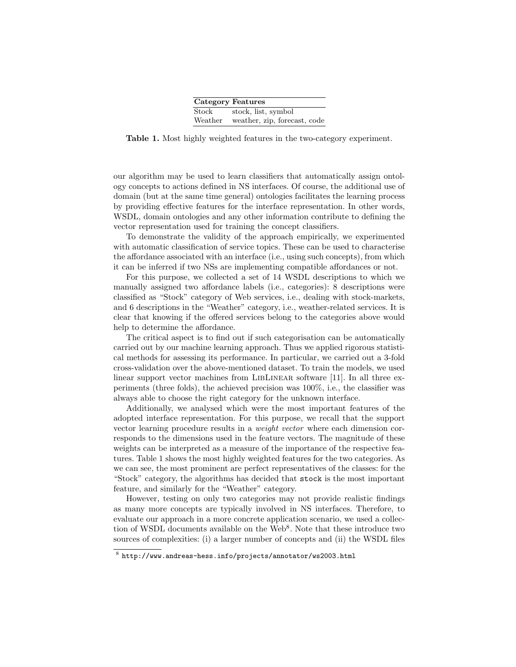| <b>Category Features</b> |                              |  |
|--------------------------|------------------------------|--|
| Stock                    | stock, list, symbol          |  |
| Weather                  | weather, zip, forecast, code |  |

Table 1. Most highly weighted features in the two-category experiment.

our algorithm may be used to learn classifiers that automatically assign ontology concepts to actions defined in NS interfaces. Of course, the additional use of domain (but at the same time general) ontologies facilitates the learning process by providing effective features for the interface representation. In other words, WSDL, domain ontologies and any other information contribute to defining the vector representation used for training the concept classifiers.

To demonstrate the validity of the approach empirically, we experimented with automatic classification of service topics. These can be used to characterise the affordance associated with an interface (i.e., using such concepts), from which it can be inferred if two NSs are implementing compatible affordances or not.

For this purpose, we collected a set of 14 WSDL descriptions to which we manually assigned two affordance labels (i.e., categories): 8 descriptions were classified as "Stock" category of Web services, i.e., dealing with stock-markets, and 6 descriptions in the "Weather" category, i.e., weather-related services. It is clear that knowing if the offered services belong to the categories above would help to determine the affordance.

The critical aspect is to find out if such categorisation can be automatically carried out by our machine learning approach. Thus we applied rigorous statistical methods for assessing its performance. In particular, we carried out a 3-fold cross-validation over the above-mentioned dataset. To train the models, we used linear support vector machines from LIBLINEAR software [11]. In all three experiments (three folds), the achieved precision was 100%, i.e., the classifier was always able to choose the right category for the unknown interface.

Additionally, we analysed which were the most important features of the adopted interface representation. For this purpose, we recall that the support vector learning procedure results in a weight vector where each dimension corresponds to the dimensions used in the feature vectors. The magnitude of these weights can be interpreted as a measure of the importance of the respective features. Table 1 shows the most highly weighted features for the two categories. As we can see, the most prominent are perfect representatives of the classes: for the "Stock" category, the algorithms has decided that stock is the most important feature, and similarly for the "Weather" category.

However, testing on only two categories may not provide realistic findings as many more concepts are typically involved in NS interfaces. Therefore, to evaluate our approach in a more concrete application scenario, we used a collection of WSDL documents available on the Web<sup>8</sup>. Note that these introduce two sources of complexities: (i) a larger number of concepts and (ii) the WSDL files

 $^8$  http://www.andreas-hess.info/projects/annotator/ws2003.html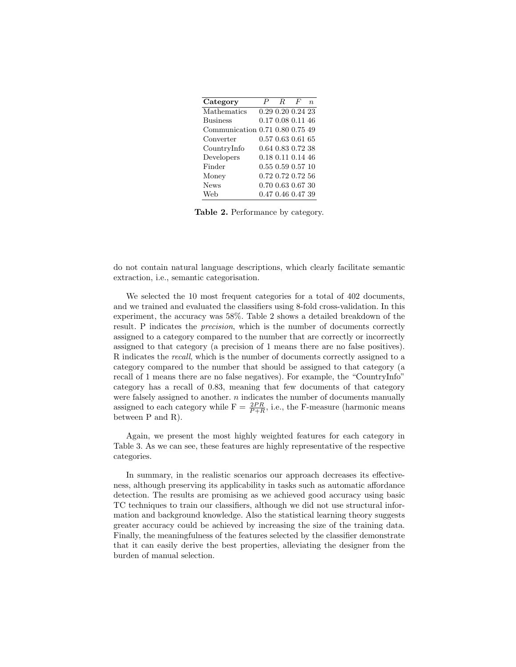| Category                        | $\boldsymbol{P}$ | $R$ $F$                   | $\boldsymbol{n}$ |
|---------------------------------|------------------|---------------------------|------------------|
| Mathematics                     |                  | 0.29 0.20 0.24 23         |                  |
| <b>Business</b>                 |                  | 0.17 0.08 0.11 46         |                  |
| Communication 0.71 0.80 0.75 49 |                  |                           |                  |
| Converter                       |                  | 0.57 0.63 0.61 65         |                  |
| CountryInfo                     |                  | 0.64 0.83 0.72 38         |                  |
| Developers                      |                  | 0.18 0.11 0.14 46         |                  |
| Finder                          |                  | $0.55$ $0.59$ $0.57$ $10$ |                  |
| Money                           |                  | 0.72 0.72 0.72 56         |                  |
| <b>News</b>                     |                  | 0.70 0.63 0.67 30         |                  |
| Web                             |                  | 0.47 0.46 0.47 39         |                  |

Table 2. Performance by category.

do not contain natural language descriptions, which clearly facilitate semantic extraction, i.e., semantic categorisation.

We selected the 10 most frequent categories for a total of 402 documents, and we trained and evaluated the classifiers using 8-fold cross-validation. In this experiment, the accuracy was 58%. Table 2 shows a detailed breakdown of the result. P indicates the precision, which is the number of documents correctly assigned to a category compared to the number that are correctly or incorrectly assigned to that category (a precision of 1 means there are no false positives). R indicates the recall, which is the number of documents correctly assigned to a category compared to the number that should be assigned to that category (a recall of 1 means there are no false negatives). For example, the "CountryInfo" category has a recall of 0.83, meaning that few documents of that category were falsely assigned to another.  $n$  indicates the number of documents manually assigned to each category while  $F = \frac{2PR}{P+R}$ , i.e., the F-measure (harmonic means between P and R).

Again, we present the most highly weighted features for each category in Table 3. As we can see, these features are highly representative of the respective categories.

In summary, in the realistic scenarios our approach decreases its effectiveness, although preserving its applicability in tasks such as automatic affordance detection. The results are promising as we achieved good accuracy using basic TC techniques to train our classifiers, although we did not use structural information and background knowledge. Also the statistical learning theory suggests greater accuracy could be achieved by increasing the size of the training data. Finally, the meaningfulness of the features selected by the classifier demonstrate that it can easily derive the best properties, alleviating the designer from the burden of manual selection.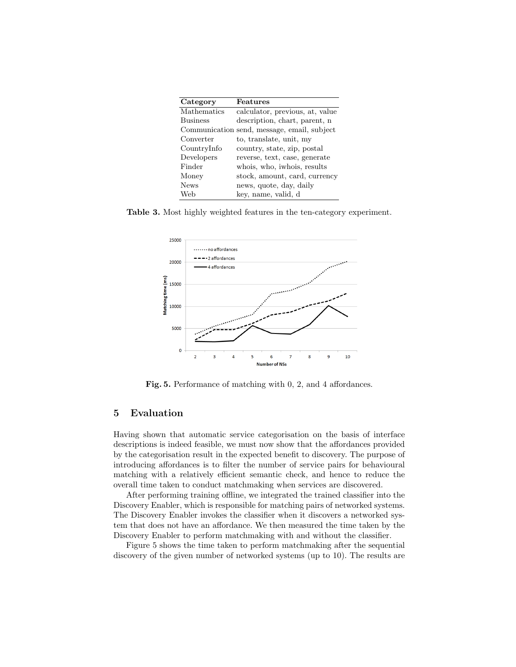| Category        | Features                                    |
|-----------------|---------------------------------------------|
| Mathematics     | calculator, previous, at, value             |
| <b>Business</b> | description, chart, parent, n               |
|                 | Communication send, message, email, subject |
| Converter       | to, translate, unit, my                     |
| CountryInfo     | country, state, zip, postal                 |
| Developers      | reverse, text, case, generate               |
| Finder          | whois, who, iwhois, results                 |
| Money           | stock, amount, card, currency               |
| <b>News</b>     | news, quote, day, daily                     |
| Web             | key, name, valid, d                         |

Table 3. Most highly weighted features in the ten-category experiment.



Fig. 5. Performance of matching with 0, 2, and 4 affordances.

## 5 Evaluation

Having shown that automatic service categorisation on the basis of interface descriptions is indeed feasible, we must now show that the affordances provided by the categorisation result in the expected benefit to discovery. The purpose of introducing affordances is to filter the number of service pairs for behavioural matching with a relatively efficient semantic check, and hence to reduce the overall time taken to conduct matchmaking when services are discovered.

After performing training offline, we integrated the trained classifier into the Discovery Enabler, which is responsible for matching pairs of networked systems. The Discovery Enabler invokes the classifier when it discovers a networked system that does not have an affordance. We then measured the time taken by the Discovery Enabler to perform matchmaking with and without the classifier.

Figure 5 shows the time taken to perform matchmaking after the sequential discovery of the given number of networked systems (up to 10). The results are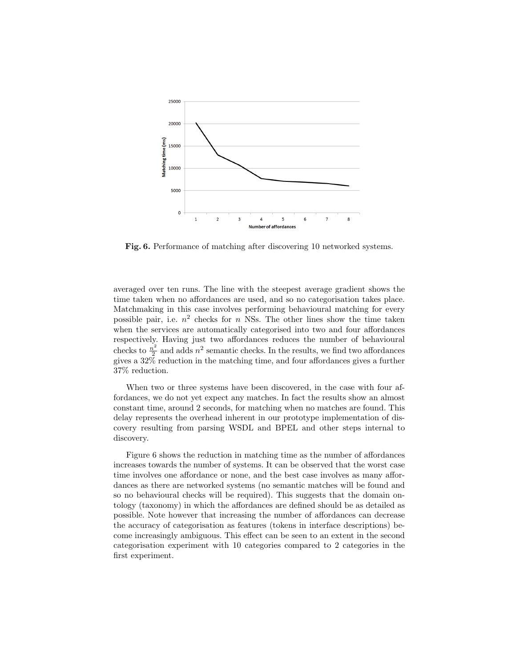

Fig. 6. Performance of matching after discovering 10 networked systems.

averaged over ten runs. The line with the steepest average gradient shows the time taken when no affordances are used, and so no categorisation takes place. Matchmaking in this case involves performing behavioural matching for every possible pair, i.e.  $n^2$  checks for n NSs. The other lines show the time taken when the services are automatically categorised into two and four affordances respectively. Having just two affordances reduces the number of behavioural checks to  $\frac{n^2}{2}$  $\frac{n^2}{2}$  and adds  $n^2$  semantic checks. In the results, we find two affordances gives a  $32\%$  reduction in the matching time, and four affordances gives a further 37% reduction.

When two or three systems have been discovered, in the case with four affordances, we do not yet expect any matches. In fact the results show an almost constant time, around 2 seconds, for matching when no matches are found. This delay represents the overhead inherent in our prototype implementation of discovery resulting from parsing WSDL and BPEL and other steps internal to discovery.

Figure 6 shows the reduction in matching time as the number of affordances increases towards the number of systems. It can be observed that the worst case time involves one affordance or none, and the best case involves as many affordances as there are networked systems (no semantic matches will be found and so no behavioural checks will be required). This suggests that the domain ontology (taxonomy) in which the affordances are defined should be as detailed as possible. Note however that increasing the number of affordances can decrease the accuracy of categorisation as features (tokens in interface descriptions) become increasingly ambiguous. This effect can be seen to an extent in the second categorisation experiment with 10 categories compared to 2 categories in the first experiment.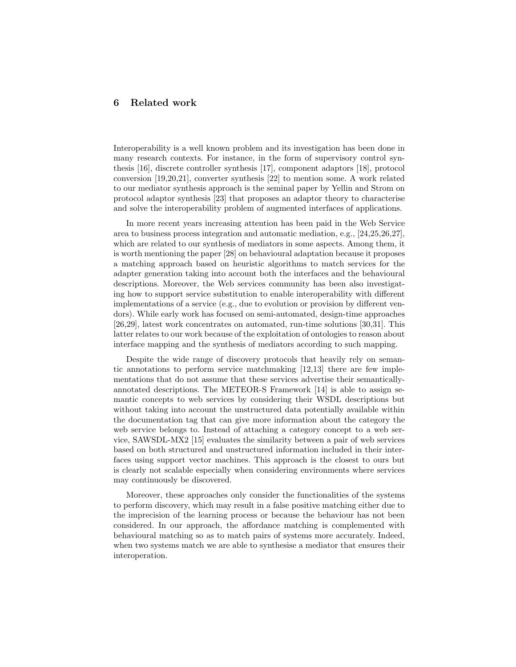# 6 Related work

Interoperability is a well known problem and its investigation has been done in many research contexts. For instance, in the form of supervisory control synthesis [16], discrete controller synthesis [17], component adaptors [18], protocol conversion [19,20,21], converter synthesis [22] to mention some. A work related to our mediator synthesis approach is the seminal paper by Yellin and Strom on protocol adaptor synthesis [23] that proposes an adaptor theory to characterise and solve the interoperability problem of augmented interfaces of applications.

In more recent years increasing attention has been paid in the Web Service area to business process integration and automatic mediation, e.g., [24,25,26,27], which are related to our synthesis of mediators in some aspects. Among them, it is worth mentioning the paper [28] on behavioural adaptation because it proposes a matching approach based on heuristic algorithms to match services for the adapter generation taking into account both the interfaces and the behavioural descriptions. Moreover, the Web services community has been also investigating how to support service substitution to enable interoperability with different implementations of a service (e.g., due to evolution or provision by different vendors). While early work has focused on semi-automated, design-time approaches [26,29], latest work concentrates on automated, run-time solutions [30,31]. This latter relates to our work because of the exploitation of ontologies to reason about interface mapping and the synthesis of mediators according to such mapping.

Despite the wide range of discovery protocols that heavily rely on semantic annotations to perform service matchmaking [12,13] there are few implementations that do not assume that these services advertise their semanticallyannotated descriptions. The METEOR-S Framework [14] is able to assign semantic concepts to web services by considering their WSDL descriptions but without taking into account the unstructured data potentially available within the documentation tag that can give more information about the category the web service belongs to. Instead of attaching a category concept to a web service, SAWSDL-MX2 [15] evaluates the similarity between a pair of web services based on both structured and unstructured information included in their interfaces using support vector machines. This approach is the closest to ours but is clearly not scalable especially when considering environments where services may continuously be discovered.

Moreover, these approaches only consider the functionalities of the systems to perform discovery, which may result in a false positive matching either due to the imprecision of the learning process or because the behaviour has not been considered. In our approach, the affordance matching is complemented with behavioural matching so as to match pairs of systems more accurately. Indeed, when two systems match we are able to synthesise a mediator that ensures their interoperation.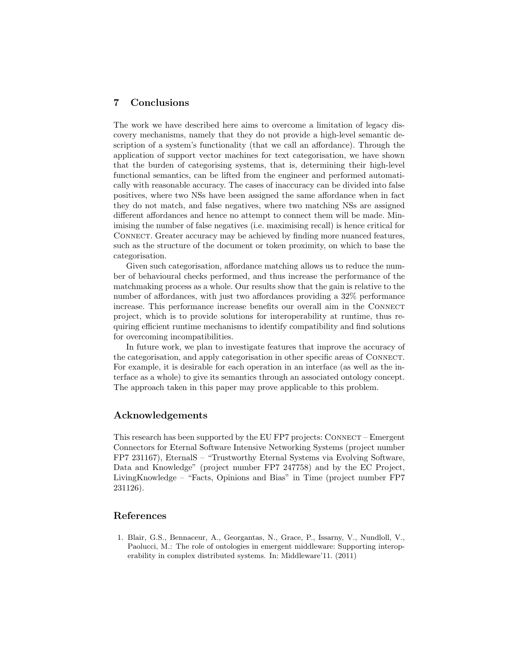# 7 Conclusions

The work we have described here aims to overcome a limitation of legacy discovery mechanisms, namely that they do not provide a high-level semantic description of a system's functionality (that we call an affordance). Through the application of support vector machines for text categorisation, we have shown that the burden of categorising systems, that is, determining their high-level functional semantics, can be lifted from the engineer and performed automatically with reasonable accuracy. The cases of inaccuracy can be divided into false positives, where two NSs have been assigned the same affordance when in fact they do not match, and false negatives, where two matching NSs are assigned different affordances and hence no attempt to connect them will be made. Minimising the number of false negatives (i.e. maximising recall) is hence critical for CONNECT. Greater accuracy may be achieved by finding more nuanced features, such as the structure of the document or token proximity, on which to base the categorisation.

Given such categorisation, affordance matching allows us to reduce the number of behavioural checks performed, and thus increase the performance of the matchmaking process as a whole. Our results show that the gain is relative to the number of affordances, with just two affordances providing a 32% performance increase. This performance increase benefits our overall aim in the CONNECT project, which is to provide solutions for interoperability at runtime, thus requiring efficient runtime mechanisms to identify compatibility and find solutions for overcoming incompatibilities.

In future work, we plan to investigate features that improve the accuracy of the categorisation, and apply categorisation in other specific areas of Connect. For example, it is desirable for each operation in an interface (as well as the interface as a whole) to give its semantics through an associated ontology concept. The approach taken in this paper may prove applicable to this problem.

## Acknowledgements

This research has been supported by the EU FP7 projects: CONNECT – Emergent Connectors for Eternal Software Intensive Networking Systems (project number FP7 231167), EternalS – "Trustworthy Eternal Systems via Evolving Software, Data and Knowledge" (project number FP7 247758) and by the EC Project, LivingKnowledge – "Facts, Opinions and Bias" in Time (project number FP7 231126).

## References

1. Blair, G.S., Bennaceur, A., Georgantas, N., Grace, P., Issarny, V., Nundloll, V., Paolucci, M.: The role of ontologies in emergent middleware: Supporting interoperability in complex distributed systems. In: Middleware'11. (2011)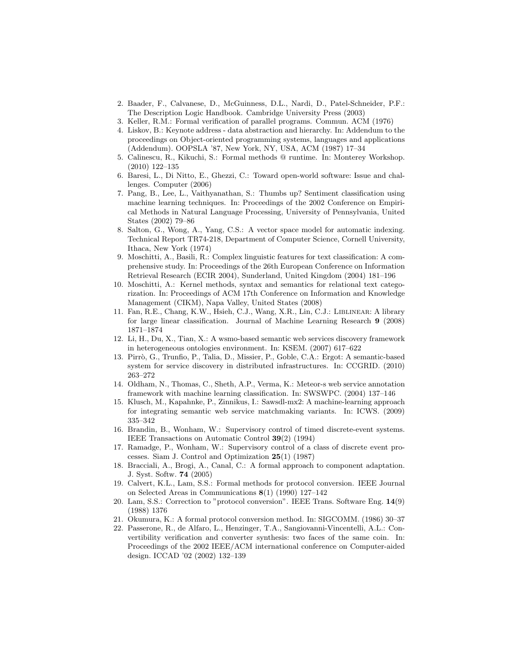- 2. Baader, F., Calvanese, D., McGuinness, D.L., Nardi, D., Patel-Schneider, P.F.: The Description Logic Handbook. Cambridge University Press (2003)
- 3. Keller, R.M.: Formal verification of parallel programs. Commun. ACM (1976)
- 4. Liskov, B.: Keynote address data abstraction and hierarchy. In: Addendum to the proceedings on Object-oriented programming systems, languages and applications (Addendum). OOPSLA '87, New York, NY, USA, ACM (1987) 17–34
- 5. Calinescu, R., Kikuchi, S.: Formal methods @ runtime. In: Monterey Workshop. (2010) 122–135
- 6. Baresi, L., Di Nitto, E., Ghezzi, C.: Toward open-world software: Issue and challenges. Computer (2006)
- 7. Pang, B., Lee, L., Vaithyanathan, S.: Thumbs up? Sentiment classification using machine learning techniques. In: Proceedings of the 2002 Conference on Empirical Methods in Natural Language Processing, University of Pennsylvania, United States (2002) 79–86
- 8. Salton, G., Wong, A., Yang, C.S.: A vector space model for automatic indexing. Technical Report TR74-218, Department of Computer Science, Cornell University, Ithaca, New York (1974)
- 9. Moschitti, A., Basili, R.: Complex linguistic features for text classification: A comprehensive study. In: Proceedings of the 26th European Conference on Information Retrieval Research (ECIR 2004), Sunderland, United Kingdom (2004) 181–196
- 10. Moschitti, A.: Kernel methods, syntax and semantics for relational text categorization. In: Proceedings of ACM 17th Conference on Information and Knowledge Management (CIKM), Napa Valley, United States (2008)
- 11. Fan, R.E., Chang, K.W., Hsieh, C.J., Wang, X.R., Lin, C.J.: Liblinear: A library for large linear classification. Journal of Machine Learning Research 9 (2008) 1871–1874
- 12. Li, H., Du, X., Tian, X.: A wsmo-based semantic web services discovery framework in heterogeneous ontologies environment. In: KSEM. (2007) 617–622
- 13. Pirr`o, G., Trunfio, P., Talia, D., Missier, P., Goble, C.A.: Ergot: A semantic-based system for service discovery in distributed infrastructures. In: CCGRID. (2010) 263–272
- 14. Oldham, N., Thomas, C., Sheth, A.P., Verma, K.: Meteor-s web service annotation framework with machine learning classification. In: SWSWPC. (2004) 137–146
- 15. Klusch, M., Kapahnke, P., Zinnikus, I.: Sawsdl-mx2: A machine-learning approach for integrating semantic web service matchmaking variants. In: ICWS. (2009) 335–342
- 16. Brandin, B., Wonham, W.: Supervisory control of timed discrete-event systems. IEEE Transactions on Automatic Control 39(2) (1994)
- 17. Ramadge, P., Wonham, W.: Supervisory control of a class of discrete event processes. Siam J. Control and Optimization 25(1) (1987)
- 18. Bracciali, A., Brogi, A., Canal, C.: A formal approach to component adaptation. J. Syst. Softw. 74 (2005)
- 19. Calvert, K.L., Lam, S.S.: Formal methods for protocol conversion. IEEE Journal on Selected Areas in Communications 8(1) (1990) 127–142
- 20. Lam, S.S.: Correction to "protocol conversion". IEEE Trans. Software Eng. 14(9) (1988) 1376
- 21. Okumura, K.: A formal protocol conversion method. In: SIGCOMM. (1986) 30–37
- 22. Passerone, R., de Alfaro, L., Henzinger, T.A., Sangiovanni-Vincentelli, A.L.: Convertibility verification and converter synthesis: two faces of the same coin. In: Proceedings of the 2002 IEEE/ACM international conference on Computer-aided design. ICCAD '02 (2002) 132–139